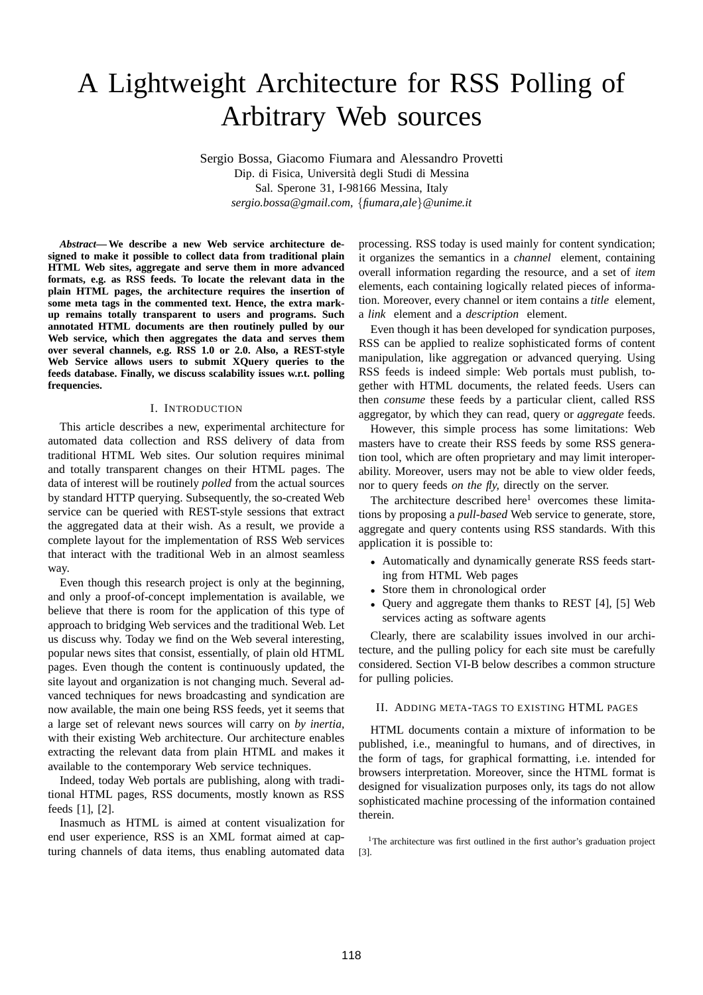# A Lightweight Architecture for RSS Polling of Arbitrary Web sources

Sergio Bossa, Giacomo Fiumara and Alessandro Provetti Dip. di Fisica, Universita degli Studi di Messina ` Sal. Sperone 31, I-98166 Messina, Italy *sergio.bossa@gmail.com,* {*fiumara,ale*}*@unime.it*

*Abstract***— We describe a new Web service architecture designed to make it possible to collect data from traditional plain HTML Web sites, aggregate and serve them in more advanced formats, e.g. as RSS feeds. To locate the relevant data in the plain HTML pages, the architecture requires the insertion of some meta tags in the commented text. Hence, the extra markup remains totally transparent to users and programs. Such annotated HTML documents are then routinely pulled by our Web service, which then aggregates the data and serves them over several channels, e.g. RSS 1.0 or 2.0. Also, a REST-style Web Service allows users to submit XQuery queries to the feeds database. Finally, we discuss scalability issues w.r.t. polling frequencies.**

# I. INTRODUCTION

This article describes a new, experimental architecture for automated data collection and RSS delivery of data from traditional HTML Web sites. Our solution requires minimal and totally transparent changes on their HTML pages. The data of interest will be routinely *polled* from the actual sources by standard HTTP querying. Subsequently, the so-created Web service can be queried with REST-style sessions that extract the aggregated data at their wish. As a result, we provide a complete layout for the implementation of RSS Web services that interact with the traditional Web in an almost seamless way.

Even though this research project is only at the beginning, and only a proof-of-concept implementation is available, we believe that there is room for the application of this type of approach to bridging Web services and the traditional Web. Let us discuss why. Today we find on the Web several interesting, popular news sites that consist, essentially, of plain old HTML pages. Even though the content is continuously updated, the site layout and organization is not changing much. Several advanced techniques for news broadcasting and syndication are now available, the main one being RSS feeds, yet it seems that a large set of relevant news sources will carry on *by inertia,* with their existing Web architecture. Our architecture enables extracting the relevant data from plain HTML and makes it available to the contemporary Web service techniques.

Indeed, today Web portals are publishing, along with traditional HTML pages, RSS documents, mostly known as RSS feeds [1], [2].

Inasmuch as HTML is aimed at content visualization for end user experience, RSS is an XML format aimed at capturing channels of data items, thus enabling automated data processing. RSS today is used mainly for content syndication; it organizes the semantics in a *channel* element, containing overall information regarding the resource, and a set of *item* elements, each containing logically related pieces of information. Moreover, every channel or item contains a *title* element, a *link* element and a *description* element.

Even though it has been developed for syndication purposes, RSS can be applied to realize sophisticated forms of content manipulation, like aggregation or advanced querying. Using RSS feeds is indeed simple: Web portals must publish, together with HTML documents, the related feeds. Users can then *consume* these feeds by a particular client, called RSS aggregator, by which they can read, query or *aggregate* feeds.

However, this simple process has some limitations: Web masters have to create their RSS feeds by some RSS generation tool, which are often proprietary and may limit interoperability. Moreover, users may not be able to view older feeds, nor to query feeds *on the fly,* directly on the server.

The architecture described here<sup>1</sup> overcomes these limitations by proposing a *pull-based* Web service to generate, store, aggregate and query contents using RSS standards. With this application it is possible to:

- Automatically and dynamically generate RSS feeds starting from HTML Web pages
- Store them in chronological order
- Query and aggregate them thanks to REST [4], [5] Web services acting as software agents

Clearly, there are scalability issues involved in our architecture, and the pulling policy for each site must be carefully considered. Section VI-B below describes a common structure for pulling policies.

# II. ADDING META-TAGS TO EXISTING HTML PAGES

HTML documents contain a mixture of information to be published, i.e., meaningful to humans, and of directives, in the form of tags, for graphical formatting, i.e. intended for browsers interpretation. Moreover, since the HTML format is designed for visualization purposes only, its tags do not allow sophisticated machine processing of the information contained therein.

<sup>1</sup>The architecture was first outlined in the first author's graduation project [3].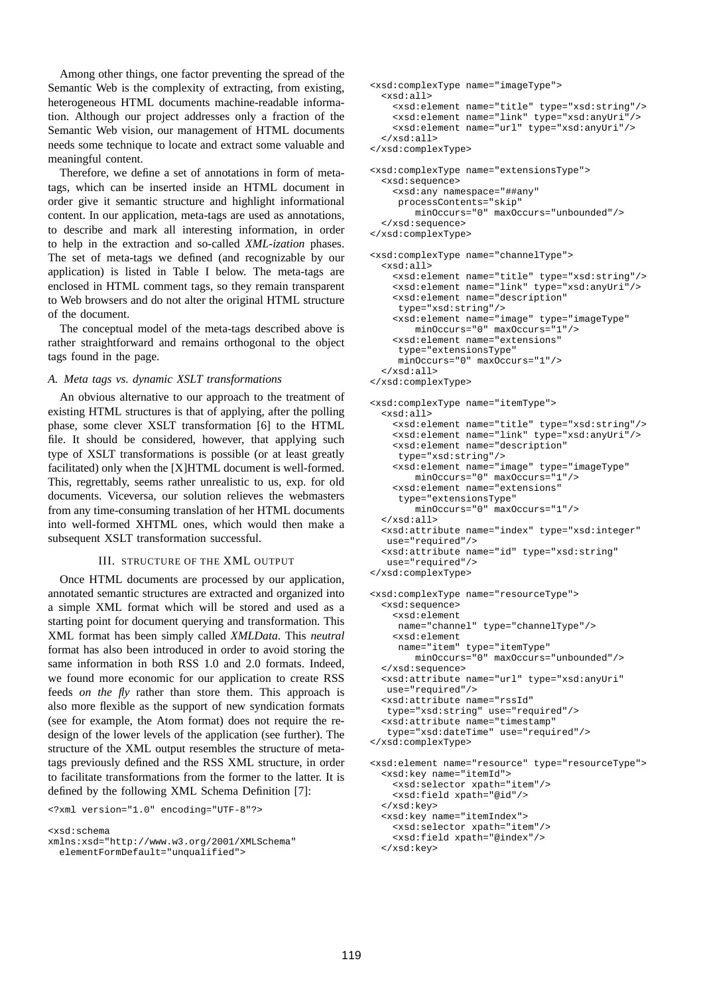Among other things, one factor preventing the spread of the Semantic Web is the complexity of extracting, from existing, heterogeneous HTML documents machine-readable information. Although our project addresses only a fraction of the Semantic Web vision, our management of HTML documents needs some technique to locate and extract some valuable and meaningful content.

Therefore, we define a set of annotations in form of metatags, which can be inserted inside an HTML document in order give it semantic structure and highlight informational content. In our application, meta-tags are used as annotations, to describe and mark all interesting information, in order to help in the extraction and so-called *XML-ization* phases. The set of meta-tags we defined (and recognizable by our application) is listed in Table I below. The meta-tags are enclosed in HTML comment tags, so they remain transparent to Web browsers and do not alter the original HTML structure of the document.

The conceptual model of the meta-tags described above is rather straightforward and remains orthogonal to the object tags found in the page.

# *A. Meta tags vs. dynamic XSLT transformations*

An obvious alternative to our approach to the treatment of existing HTML structures is that of applying, after the polling phase, some clever XSLT transformation [6] to the HTML file. It should be considered, however, that applying such type of XSLT transformations is possible (or at least greatly facilitated) only when the [X]HTML document is well-formed. This, regrettably, seems rather unrealistic to us, exp. for old documents. Viceversa, our solution relieves the webmasters from any time-consuming translation of her HTML documents into well-formed XHTML ones, which would then make a subsequent XSLT transformation successful.

# III. STRUCTURE OF THE XML OUTPUT

Once HTML documents are processed by our application, annotated semantic structures are extracted and organized into a simple XML format which will be stored and used as a starting point for document querying and transformation. This XML format has been simply called *XMLData*. This *neutral* format has also been introduced in order to avoid storing the same information in both RSS 1.0 and 2.0 formats. Indeed, we found more economic for our application to create RSS feeds *on the fly* rather than store them. This approach is also more flexible as the support of new syndication formats (see for example, the Atom format) does not require the redesign of the lower levels of the application (see further). The structure of the XML output resembles the structure of metatags previously defined and the RSS XML structure, in order to facilitate transformations from the former to the latter. It is defined by the following XML Schema Definition [7]:

<?xml version="1.0" encoding="UTF-8"?>

<xsd:schema

```
<xsd:complexType name="imageType">
  <xsd:all>
    <xsd:element name="title" type="xsd:string"/>
   <xsd:element name="link" type="xsd:anyUri"/>
   <xsd:element name="url" type="xsd:anyUri"/>
  </xsd:all>
</xsd:complexType>
<xsd:complexType name="extensionsType">
  <xsd:sequence>
    <xsd:any namespace="##any"
    processContents="skip"
       minOccurs="0" maxOccurs="unbounded"/>
  </xsd:sequence>
</xsd:complexType>
<xsd:complexType name="channelType">
  <xsd:all>
   <xsd:element name="title" type="xsd:string"/>
    <xsd:element name="link" type="xsd:anyUri"/>
    <xsd:element name="description"
    type="xsd:string"/>
    <xsd:element name="image" type="imageType"
       minOccurs="0" maxOccurs="1"/>
    <xsd:element name="extensions"
     type="extensionsType"
     minOccurs="0" maxOccurs="1"/>
  </xsd:all>
</xsd:complexType>
<xsd:complexType name="itemType">
  <xsd:all>
    <xsd:element name="title" type="xsd:string"/>
    <xsd:element name="link" type="xsd:anyUri"/>
    <xsd:element name="description"
     type="xsd:string"/>
    <xsd:element name="image" type="imageType"
       minOccurs="0" maxOccurs="1"/>
    <xsd:element name="extensions"
    type="extensionsType"
       minOccurs="0" maxOccurs="1"/>
  </xsd:all>
  <xsd:attribute name="index" type="xsd:integer"
  use="required"/>
  <xsd:attribute name="id" type="xsd:string"
  use="required"/>
</xsd:complexType>
<xsd:complexType name="resourceType">
  <xsd:sequence>
    <xsd:element
    name="channel" type="channelType"/>
    <xsd:element
    name="item" type="itemType"
       minOccurs="0" maxOccurs="unbounded"/>
  </xsd:sequence>
  <xsd:attribute name="url" type="xsd:anyUri"
  use="required"/>
  <xsd:attribute name="rssId"
  type="xsd:string" use="required"/>
  <xsd:attribute name="timestamp"
   type="xsd:dateTime" use="required"/>
</xsd:complexType>
<xsd:element name="resource" type="resourceType">
  <xsd:key name="itemId">
    <xsd:selector xpath="item"/>
    <xsd:field xpath="@id"/>
  </xsd:key>
  <xsd:key name="itemIndex">
    <xsd:selector xpath="item"/>
    <xsd:field xpath="@index"/>
  </xsd:key>
```
xmlns:xsd="http://www.w3.org/2001/XMLSchema"

elementFormDefault="unqualified">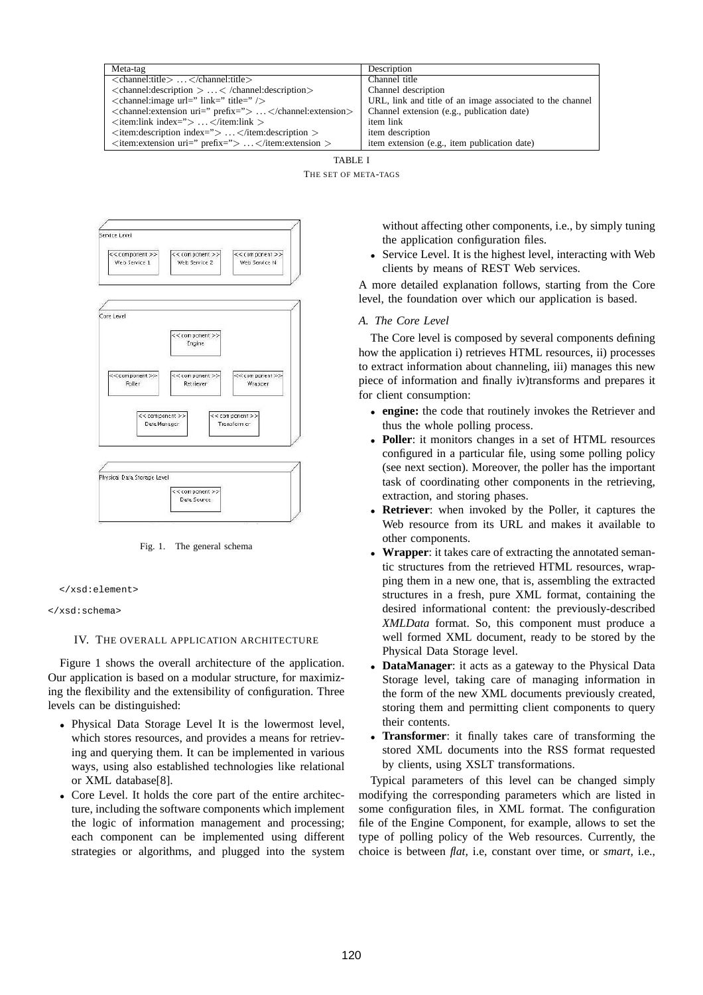| Meta-tag                                                                                                      | Description                                               |
|---------------------------------------------------------------------------------------------------------------|-----------------------------------------------------------|
| $\le$ channel:title> $\lt$ /channel:title>                                                                    | Channel title                                             |
| $\alpha$ <channel: <math="" description="">&gt; \ldots \lt /channel: description <math>&gt;</math></channel:> | Channel description                                       |
| $\alpha$ < channel: image url=" link=" title=" $\alpha$                                                       | URL, link and title of an image associated to the channel |
| <channel: extension="" uri=" prefix="> </channel:>                                                            | Channel extension (e.g., publication date)                |
| $\langle$ item:link index="> $\langle$ /item:link >                                                           | item link                                                 |
| $\langle$ item: description index="> $\langle$ /item: description >                                           | item description                                          |
| $\langle$ item: extension uri=" prefix="> $\langle$ /item: extension >                                        | item extension (e.g., item publication date)              |

TABLE I

THE SET OF META-TAGS



Fig. 1. The general schema



```
</xsd:schema>
```
# IV. THE OVERALL APPLICATION ARCHITECTURE

Figure 1 shows the overall architecture of the application. Our application is based on a modular structure, for maximizing the flexibility and the extensibility of configuration. Three levels can be distinguished:

- Physical Data Storage Level It is the lowermost level, which stores resources, and provides a means for retrieving and querying them. It can be implemented in various ways, using also established technologies like relational or XML database[8].
- Core Level. It holds the core part of the entire architecture, including the software components which implement the logic of information management and processing; each component can be implemented using different strategies or algorithms, and plugged into the system

without affecting other components, i.e., by simply tuning the application configuration files.

• Service Level. It is the highest level, interacting with Web clients by means of REST Web services.

A more detailed explanation follows, starting from the Core level, the foundation over which our application is based.

# *A. The Core Level*

The Core level is composed by several components defining how the application i) retrieves HTML resources, ii) processes to extract information about channeling, iii) manages this new piece of information and finally iv)transforms and prepares it for client consumption:

- **engine:** the code that routinely invokes the Retriever and thus the whole polling process.
- **Poller**: it monitors changes in a set of HTML resources configured in a particular file, using some polling policy (see next section). Moreover, the poller has the important task of coordinating other components in the retrieving, extraction, and storing phases.
- **Retriever**: when invoked by the Poller, it captures the Web resource from its URL and makes it available to other components.
- **Wrapper**: it takes care of extracting the annotated semantic structures from the retrieved HTML resources, wrapping them in a new one, that is, assembling the extracted structures in a fresh, pure XML format, containing the desired informational content: the previously-described *XMLData* format. So, this component must produce a well formed XML document, ready to be stored by the Physical Data Storage level.
- **DataManager**: it acts as a gateway to the Physical Data Storage level, taking care of managing information in the form of the new XML documents previously created, storing them and permitting client components to query their contents.
- **Transformer**: it finally takes care of transforming the stored XML documents into the RSS format requested by clients, using XSLT transformations.

Typical parameters of this level can be changed simply modifying the corresponding parameters which are listed in some configuration files, in XML format. The configuration file of the Engine Component, for example, allows to set the type of polling policy of the Web resources. Currently, the choice is between *flat,* i.e, constant over time, or *smart,* i.e.,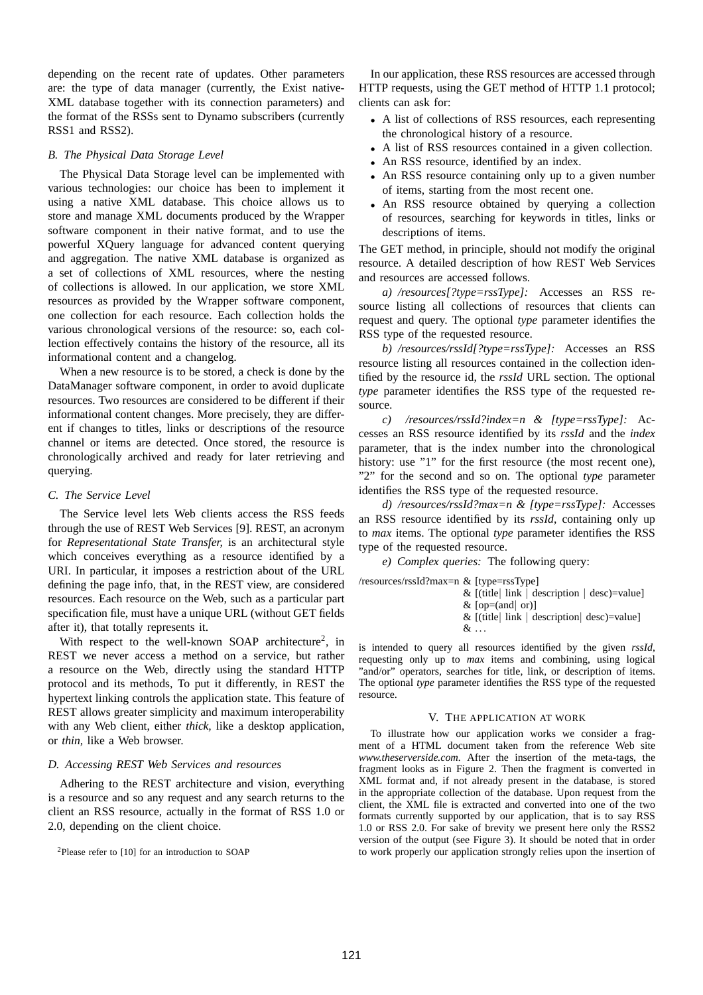depending on the recent rate of updates. Other parameters are: the type of data manager (currently, the Exist native-XML database together with its connection parameters) and the format of the RSSs sent to Dynamo subscribers (currently RSS1 and RSS2).

# *B. The Physical Data Storage Level*

The Physical Data Storage level can be implemented with various technologies: our choice has been to implement it using a native XML database. This choice allows us to store and manage XML documents produced by the Wrapper software component in their native format, and to use the powerful XQuery language for advanced content querying and aggregation. The native XML database is organized as a set of collections of XML resources, where the nesting of collections is allowed. In our application, we store XML resources as provided by the Wrapper software component, one collection for each resource. Each collection holds the various chronological versions of the resource: so, each collection effectively contains the history of the resource, all its informational content and a changelog.

When a new resource is to be stored, a check is done by the DataManager software component, in order to avoid duplicate resources. Two resources are considered to be different if their informational content changes. More precisely, they are different if changes to titles, links or descriptions of the resource channel or items are detected. Once stored, the resource is chronologically archived and ready for later retrieving and querying.

# *C. The Service Level*

The Service level lets Web clients access the RSS feeds through the use of REST Web Services [9]. REST, an acronym for *Representational State Transfer,* is an architectural style which conceives everything as a resource identified by a URI. In particular, it imposes a restriction about of the URL defining the page info, that, in the REST view, are considered resources. Each resource on the Web, such as a particular part specification file, must have a unique URL (without GET fields after it), that totally represents it.

With respect to the well-known SOAP architecture<sup>2</sup>, in REST we never access a method on a service, but rather a resource on the Web, directly using the standard HTTP protocol and its methods, To put it differently, in REST the hypertext linking controls the application state. This feature of REST allows greater simplicity and maximum interoperability with any Web client, either *thick,* like a desktop application, or *thin,* like a Web browser.

### *D. Accessing REST Web Services and resources*

Adhering to the REST architecture and vision, everything is a resource and so any request and any search returns to the client an RSS resource, actually in the format of RSS 1.0 or 2.0, depending on the client choice.

<sup>2</sup>Please refer to [10] for an introduction to SOAP

In our application, these RSS resources are accessed through HTTP requests, using the GET method of HTTP 1.1 protocol; clients can ask for:

- A list of collections of RSS resources, each representing the chronological history of a resource.
- A list of RSS resources contained in a given collection.
- An RSS resource, identified by an index.
- An RSS resource containing only up to a given number of items, starting from the most recent one.
- An RSS resource obtained by querying a collection of resources, searching for keywords in titles, links or descriptions of items.

The GET method, in principle, should not modify the original resource. A detailed description of how REST Web Services and resources are accessed follows.

*a) /resources[?type=rssType]:* Accesses an RSS resource listing all collections of resources that clients can request and query. The optional *type* parameter identifies the RSS type of the requested resource.

*b) /resources/rssId[?type=rssType]:* Accesses an RSS resource listing all resources contained in the collection identified by the resource id, the *rssId* URL section. The optional *type* parameter identifies the RSS type of the requested resource.

*c) /resources/rssId?index=n & [type=rssType]:* Accesses an RSS resource identified by its *rssId* and the *index* parameter, that is the index number into the chronological history: use "1" for the first resource (the most recent one), "2" for the second and so on. The optional *type* parameter identifies the RSS type of the requested resource.

*d) /resources/rssId?max=n & [type=rssType]:* Accesses an RSS resource identified by its *rssId*, containing only up to *max* items. The optional *type* parameter identifies the RSS type of the requested resource.

*e) Complex queries:* The following query:

/resources/rssId?max=n & [type=rssType]

|                    | & [(title  link   description   desc)=value] |
|--------------------|----------------------------------------------|
| & $[op=(and]$ or)] |                                              |

| & [(title  link   description  desc)=value] |  |
|---------------------------------------------|--|

 $\&\ldots$ 

is intended to query all resources identified by the given *rssId*, requesting only up to *max* items and combining, using logical "and/or" operators, searches for title, link, or description of items. The optional *type* parameter identifies the RSS type of the requested resource.

#### V. THE APPLICATION AT WORK

To illustrate how our application works we consider a fragment of a HTML document taken from the reference Web site *www.theserverside.com.* After the insertion of the meta-tags, the fragment looks as in Figure 2. Then the fragment is converted in XML format and, if not already present in the database, is stored in the appropriate collection of the database. Upon request from the client, the XML file is extracted and converted into one of the two formats currently supported by our application, that is to say RSS 1.0 or RSS 2.0. For sake of brevity we present here only the RSS2 version of the output (see Figure 3). It should be noted that in order to work properly our application strongly relies upon the insertion of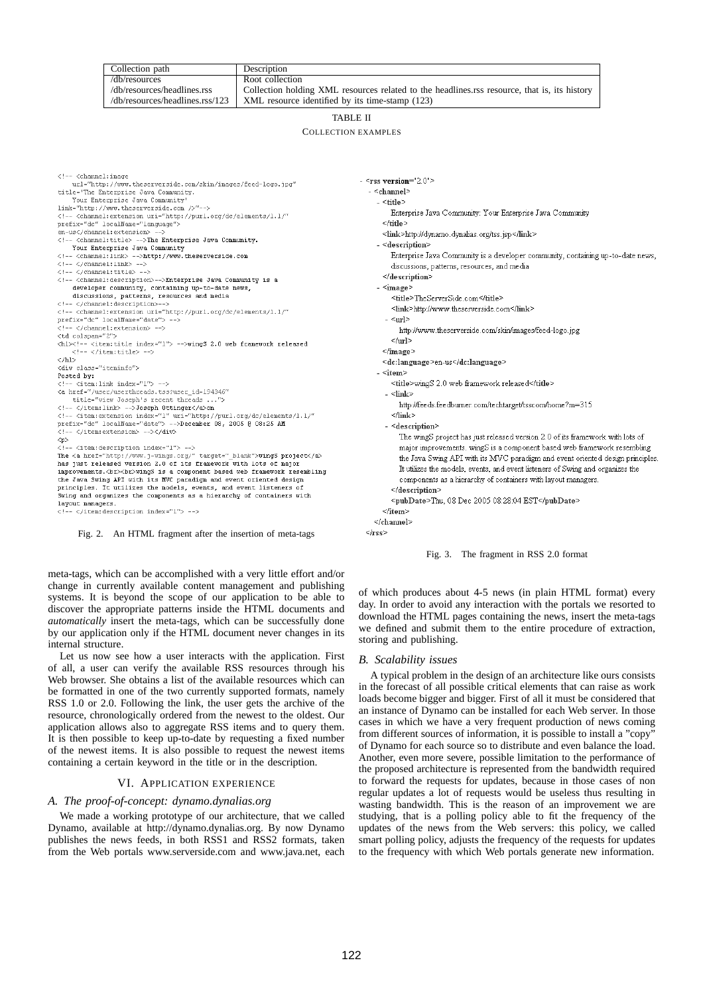|                                                                                                                                                                                                                                                                                                                                                                                                                                                                             | Collection path                                                                                                                                                                                                           | Description                                                                                  |                                                                                 |  |           |  |
|-----------------------------------------------------------------------------------------------------------------------------------------------------------------------------------------------------------------------------------------------------------------------------------------------------------------------------------------------------------------------------------------------------------------------------------------------------------------------------|---------------------------------------------------------------------------------------------------------------------------------------------------------------------------------------------------------------------------|----------------------------------------------------------------------------------------------|---------------------------------------------------------------------------------|--|-----------|--|
|                                                                                                                                                                                                                                                                                                                                                                                                                                                                             | /db/resources                                                                                                                                                                                                             | Root collection                                                                              |                                                                                 |  |           |  |
|                                                                                                                                                                                                                                                                                                                                                                                                                                                                             | /db/resources/headlines.rss                                                                                                                                                                                               | Collection holding XML resources related to the headlines.rss resource, that is, its history |                                                                                 |  |           |  |
|                                                                                                                                                                                                                                                                                                                                                                                                                                                                             | /db/resources/headlines.rss/123                                                                                                                                                                                           | XML resource identified by its time-stamp (123)                                              |                                                                                 |  |           |  |
|                                                                                                                                                                                                                                                                                                                                                                                                                                                                             |                                                                                                                                                                                                                           |                                                                                              |                                                                                 |  |           |  |
|                                                                                                                                                                                                                                                                                                                                                                                                                                                                             |                                                                                                                                                                                                                           |                                                                                              | <b>TABLE II</b>                                                                 |  |           |  |
|                                                                                                                                                                                                                                                                                                                                                                                                                                                                             |                                                                                                                                                                                                                           |                                                                                              | <b>COLLECTION EXAMPLES</b>                                                      |  |           |  |
|                                                                                                                                                                                                                                                                                                                                                                                                                                                                             |                                                                                                                                                                                                                           |                                                                                              |                                                                                 |  |           |  |
|                                                                                                                                                                                                                                                                                                                                                                                                                                                                             |                                                                                                                                                                                                                           |                                                                                              |                                                                                 |  |           |  |
|                                                                                                                                                                                                                                                                                                                                                                                                                                                                             |                                                                                                                                                                                                                           |                                                                                              |                                                                                 |  |           |  |
| <channel:image</td><td></td><td></td><td></td><td></td></tr><tr><td></td><td>url="http://www.theserverside.com/skin/images/feed-logo.jpg"</td><td></td><td><math>-</math> <rss version="2.0"></td><td></td></tr><tr><td></td><td>title='The Enterprise Java Community.</td><td></td><td>- <channel></td><td></td></tr><tr><td></td><td>Your Enterprise Java Community'</td><td></td><td>- <title></td><td></td></tr><tr><td></td><td>link="http://www.theserverside.com />" |                                                                                                                                                                                                                           | Enterprise Java Community: Your Enterprise Java Community                                    |                                                                                 |  |           |  |
|                                                                                                                                                                                                                                                                                                                                                                                                                                                                             | <channel:extension uri="http://purl.org/dc/elements/1.1/"</td><td></td><td></td><td></td></tr><tr><td></td><td>prefix="dc" localName="language"><br>en-us</channel:extension>                                             |                                                                                              |                                                                                 |  |           |  |
|                                                                                                                                                                                                                                                                                                                                                                                                                                                                             | <channel:title> The Enterprise Java Community.                                                                                                                                                                            |                                                                                              | <link/> http://dynamo.dynalias.org/tss.jsp                                      |  |           |  |
|                                                                                                                                                                                                                                                                                                                                                                                                                                                                             | Your Enterprise Java Community                                                                                                                                                                                            |                                                                                              | - <description></description>                                                   |  |           |  |
|                                                                                                                                                                                                                                                                                                                                                                                                                                                                             | <channel:link> http://www.theserverside.com                                                                                                                                                                               |                                                                                              | Enterprise Java Community is a developer community, containing up-to-date news, |  |           |  |
|                                                                                                                                                                                                                                                                                                                                                                                                                                                                             | </channel:link>                                                                                                                                                                                                           |                                                                                              | discussions, patterns, resources, and media                                     |  |           |  |
|                                                                                                                                                                                                                                                                                                                                                                                                                                                                             | </channel:title>                                                                                                                                                                                                          |                                                                                              | $\le$ /description>                                                             |  |           |  |
|                                                                                                                                                                                                                                                                                                                                                                                                                                                                             | <channel:description> Enterprise Java Community is a                                                                                                                                                                      |                                                                                              |                                                                                 |  |           |  |
|                                                                                                                                                                                                                                                                                                                                                                                                                                                                             | developer community, containing up-to-date news,                                                                                                                                                                          |                                                                                              | - <image/>                                                                      |  |           |  |
|                                                                                                                                                                                                                                                                                                                                                                                                                                                                             | discussions, patterns, resources and media<br></channel:description>                                                                                                                                                      |                                                                                              | <title>TheServerSide.com</title>                                                |  |           |  |
|                                                                                                                                                                                                                                                                                                                                                                                                                                                                             | <channel:extension uri="http://purl.org/dc/elements/1.1/"</td><td></td><td><link>http://www.theserverside.com</link></td><td></td></tr><tr><td></td><td>prefix="dc" localName="date">                                     |                                                                                              | - <url></url>                                                                   |  |           |  |
|                                                                                                                                                                                                                                                                                                                                                                                                                                                                             | </channel:extension>                                                                                                                                                                                                      |                                                                                              | http://www.theserverside.com/skin/images/feed-logo.jpg                          |  |           |  |
| <td colspan="2"></td> <td></td> <td></td> <td><math>&lt;</math>/url&gt;</td> <td></td>                                                                                                                                                                                                                                                                                                                                                                                      |                                                                                                                                                                                                                           |                                                                                              |                                                                                 |  | $<$ /url> |  |
|                                                                                                                                                                                                                                                                                                                                                                                                                                                                             | <hl><!-- <item:title index="1"> -->wingS 2.0 web framework released</hl>                                                                                                                                                  |                                                                                              |                                                                                 |  |           |  |
|                                                                                                                                                                                                                                                                                                                                                                                                                                                                             | </item:title>                                                                                                                                                                                                             |                                                                                              |                                                                                 |  |           |  |
| $\langle$ /hl>                                                                                                                                                                                                                                                                                                                                                                                                                                                              | <div class="iteminfo"></div>                                                                                                                                                                                              |                                                                                              | <dc:language>en-us</dc:language>                                                |  |           |  |
| Posted by:                                                                                                                                                                                                                                                                                                                                                                                                                                                                  |                                                                                                                                                                                                                           |                                                                                              | - <item></item>                                                                 |  |           |  |
|                                                                                                                                                                                                                                                                                                                                                                                                                                                                             | <item:link index="1">                                                                                                                                                                                                     |                                                                                              | <title>wingS 2.0 web framework released</title>                                 |  |           |  |
|                                                                                                                                                                                                                                                                                                                                                                                                                                                                             | <a <="" href="/user/userthreads.tss?user id=194346" td=""><td></td><td>- <link/></td><td></td></a>                                                                                                                        |                                                                                              | - <link/>                                                                       |  |           |  |
|                                                                                                                                                                                                                                                                                                                                                                                                                                                                             | title="view Joseph's recent threads ">                                                                                                                                                                                    |                                                                                              | http://feeds.feedburner.com/techtarget/tsscom/home?m=315                        |  |           |  |
|                                                                                                                                                                                                                                                                                                                                                                                                                                                                             | </item:link> Joseph Ottingeron                                                                                                                                                                                            |                                                                                              |                                                                                 |  |           |  |
|                                                                                                                                                                                                                                                                                                                                                                                                                                                                             | <item:extension index="1" uri="http://purl.org/dc/elements/1.1/"</td><td></td><td><math><</math>/link></td><td></td></tr><tr><td></td><td>prefix="dc" localName="date"> December 08, 2005 @ 08:25 AM<br></item:extension> |                                                                                              | - <description></description>                                                   |  |           |  |
| <p></p>                                                                                                                                                                                                                                                                                                                                                                                                                                                                     |                                                                                                                                                                                                                           |                                                                                              | The wingS project has just released version 2.0 of its framework with lots of   |  |           |  |
|                                                                                                                                                                                                                                                                                                                                                                                                                                                                             | <item:description index="1">                                                                                                                                                                                              |                                                                                              | major improvements, wingS is a component based web framework resembling         |  |           |  |
|                                                                                                                                                                                                                                                                                                                                                                                                                                                                             | The <a href="http://www.j-wings.org/" target=" blank">wingS project</a>                                                                                                                                                   |                                                                                              | the Java Swing API with its MVC paradigm and event oriented design principles   |  |           |  |
|                                                                                                                                                                                                                                                                                                                                                                                                                                                                             | has just released version 2.0 of its framework with lots of major                                                                                                                                                         |                                                                                              | It utilizes the models, events, and event listeners of Swing and organizes the  |  |           |  |
|                                                                                                                                                                                                                                                                                                                                                                                                                                                                             | improvements.<br><br>vingS is a component based web framework resembling                                                                                                                                                  |                                                                                              | components as a hierarchy of containers with layout managers.                   |  |           |  |
|                                                                                                                                                                                                                                                                                                                                                                                                                                                                             | the Java Swing API with its MVC paradigm and event oriented design<br>principles. It utilizes the models, events, and event listeners of                                                                                  |                                                                                              |                                                                                 |  |           |  |
|                                                                                                                                                                                                                                                                                                                                                                                                                                                                             | Swing and organizes the components as a hierarchy of containers with                                                                                                                                                      |                                                                                              | $<$ /description>                                                               |  |           |  |
| layout managers.                                                                                                                                                                                                                                                                                                                                                                                                                                                            |                                                                                                                                                                                                                           |                                                                                              | <pubdate>Thu, 08 Dec 2005 08:28:04 EST</pubdate>                                |  |           |  |
|                                                                                                                                                                                                                                                                                                                                                                                                                                                                             | </item:description index="1">                                                                                                                                                                                             |                                                                                              |                                                                                 |  |           |  |
|                                                                                                                                                                                                                                                                                                                                                                                                                                                                             |                                                                                                                                                                                                                           |                                                                                              | ≪channel>                                                                       |  |           |  |
|                                                                                                                                                                                                                                                                                                                                                                                                                                                                             | Fig. 2. An HTML fragment after the insertion of meta-tags                                                                                                                                                                 |                                                                                              |                                                                                 |  |           |  |
|                                                                                                                                                                                                                                                                                                                                                                                                                                                                             |                                                                                                                                                                                                                           |                                                                                              |                                                                                 |  |           |  |



of which produces about 4-5 news (in plain HTML format) every day. In order to avoid any interaction with the portals we resorted to download the HTML pages containing the news, insert the meta-tags we defined and submit them to the entire procedure of extraction, storing and publishing.

#### *B. Scalability issues*

A typical problem in the design of an architecture like ours consists in the forecast of all possible critical elements that can raise as work loads become bigger and bigger. First of all it must be considered that an instance of Dynamo can be installed for each Web server. In those cases in which we have a very frequent production of news coming from different sources of information, it is possible to install a "copy" of Dynamo for each source so to distribute and even balance the load. Another, even more severe, possible limitation to the performance of the proposed architecture is represented from the bandwidth required to forward the requests for updates, because in those cases of non regular updates a lot of requests would be useless thus resulting in wasting bandwidth. This is the reason of an improvement we are studying, that is a polling policy able to fit the frequency of the updates of the news from the Web servers: this policy, we called smart polling policy, adjusts the frequency of the requests for updates to the frequency with which Web portals generate new information.

# VI. APPLICATION EXPERIENCE

# *A. The proof-of-concept: dynamo.dynalias.org*

We made a working prototype of our architecture, that we called Dynamo, available at http://dynamo.dynalias.org. By now Dynamo publishes the news feeds, in both RSS1 and RSS2 formats, taken from the Web portals www.serverside.com and www.java.net, each

change in currently available content management and publishing systems. It is beyond the scope of our application to be able to discover the appropriate patterns inside the HTML documents and

meta-tags, which can be accomplished with a very little effort and/or

*automatically* insert the meta-tags, which can be successfully done by our application only if the HTML document never changes in its internal structure.

Let us now see how a user interacts with the application. First of all, a user can verify the available RSS resources through his Web browser. She obtains a list of the available resources which can be formatted in one of the two currently supported formats, namely RSS 1.0 or 2.0. Following the link, the user gets the archive of the resource, chronologically ordered from the newest to the oldest. Our

application allows also to aggregate RSS items and to query them. It is then possible to keep up-to-date by requesting a fixed number of the newest items. It is also possible to request the newest items containing a certain keyword in the title or in the description.